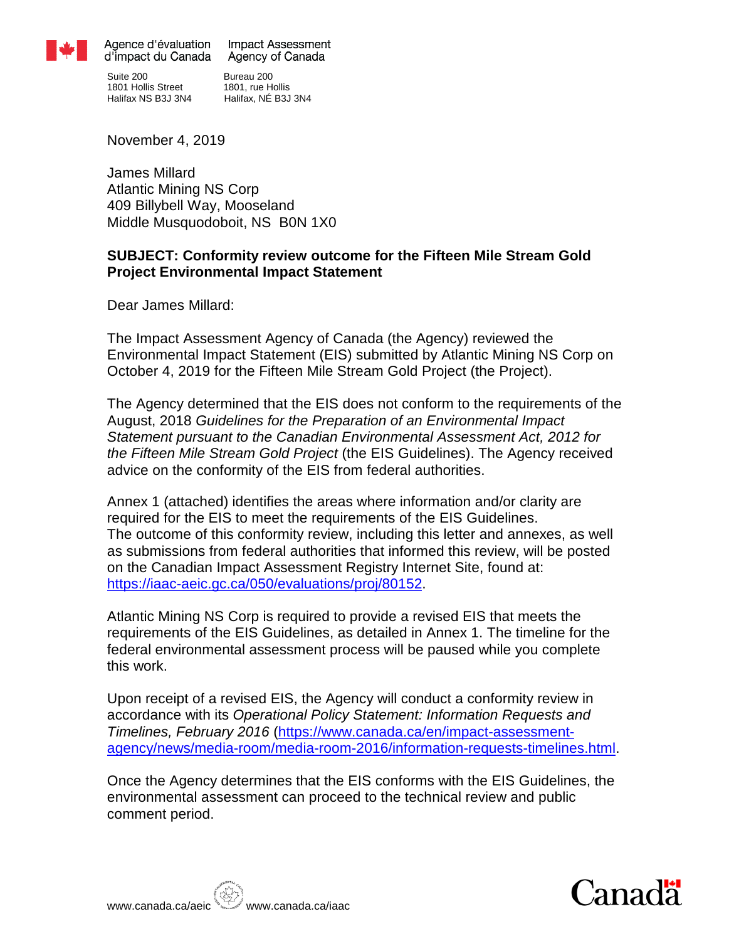

Agence d'évaluation Impact Assessment<br>d'impact du Canada Agency of Canada

Suite 200 Bureau 200<br>1801 Hollis Street 1801. rue Ho 1801 Hollis Street 1801, rue Hollis Halifax NS B3J 3N4 Halifax, NÉ B3J 3N4

November 4, 2019

James Millard Atlantic Mining NS Corp 409 Billybell Way, Mooseland Middle Musquodoboit, NS B0N 1X0

## **SUBJECT: Conformity review outcome for the Fifteen Mile Stream Gold Project Environmental Impact Statement**

Dear James Millard:

The Impact Assessment Agency of Canada (the Agency) reviewed the Environmental Impact Statement (EIS) submitted by Atlantic Mining NS Corp on October 4, 2019 for the Fifteen Mile Stream Gold Project (the Project).

The Agency determined that the EIS does not conform to the requirements of the August, 2018 *Guidelines for the Preparation of an Environmental Impact Statement pursuant to the Canadian Environmental Assessment Act, 2012 for the Fifteen Mile Stream Gold Project* (the EIS Guidelines). The Agency received advice on the conformity of the EIS from federal authorities.

Annex 1 (attached) identifies the areas where information and/or clarity are required for the EIS to meet the requirements of the EIS Guidelines. The outcome of this conformity review, including this letter and annexes, as well as submissions from federal authorities that informed this review, will be posted on the Canadian Impact Assessment Registry Internet Site, found at: [https://iaac-aeic.gc.ca/050/evaluations/proj/80152.](https://iaac-aeic.gc.ca/050/evaluations/proj/80152)

Atlantic Mining NS Corp is required to provide a revised EIS that meets the requirements of the EIS Guidelines, as detailed in Annex 1. The timeline for the federal environmental assessment process will be paused while you complete this work.

Upon receipt of a revised EIS, the Agency will conduct a conformity review in accordance with its *Operational Policy Statement: Information Requests and Timelines, February 2016* [\(https://www.canada.ca/en/impact-assessment](https://www.canada.ca/en/impact-assessment-agency/news/media-room/media-room-2016/information-requests-timelines.html)[agency/news/media-room/media-room-2016/information-requests-timelines.html.](https://www.canada.ca/en/impact-assessment-agency/news/media-room/media-room-2016/information-requests-timelines.html)

Once the Agency determines that the EIS conforms with the EIS Guidelines, the environmental assessment can proceed to the technical review and public comment period.



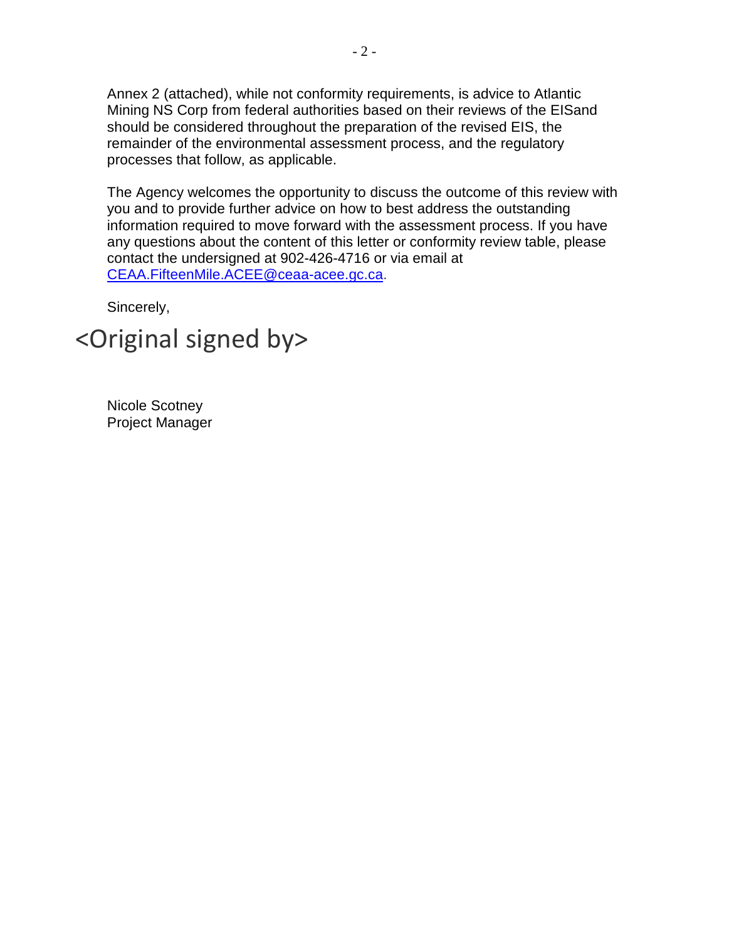Annex 2 (attached), while not conformity requirements, is advice to Atlantic Mining NS Corp from federal authorities based on their reviews of the EISand should be considered throughout the preparation of the revised EIS, the remainder of the environmental assessment process, and the regulatory processes that follow, as applicable.

The Agency welcomes the opportunity to discuss the outcome of this review with you and to provide further advice on how to best address the outstanding information required to move forward with the assessment process. If you have any questions about the content of this letter or conformity review table, please contact the undersigned at 902-426-4716 or via email at [CEAA.FifteenMile.ACEE@ceaa-acee.gc.ca.](mailto:CEAA.FifteenMile.ACEE@ceaa-acee.gc.ca)

Sincerely,

## <Original signed by>

Nicole Scotney Project Manager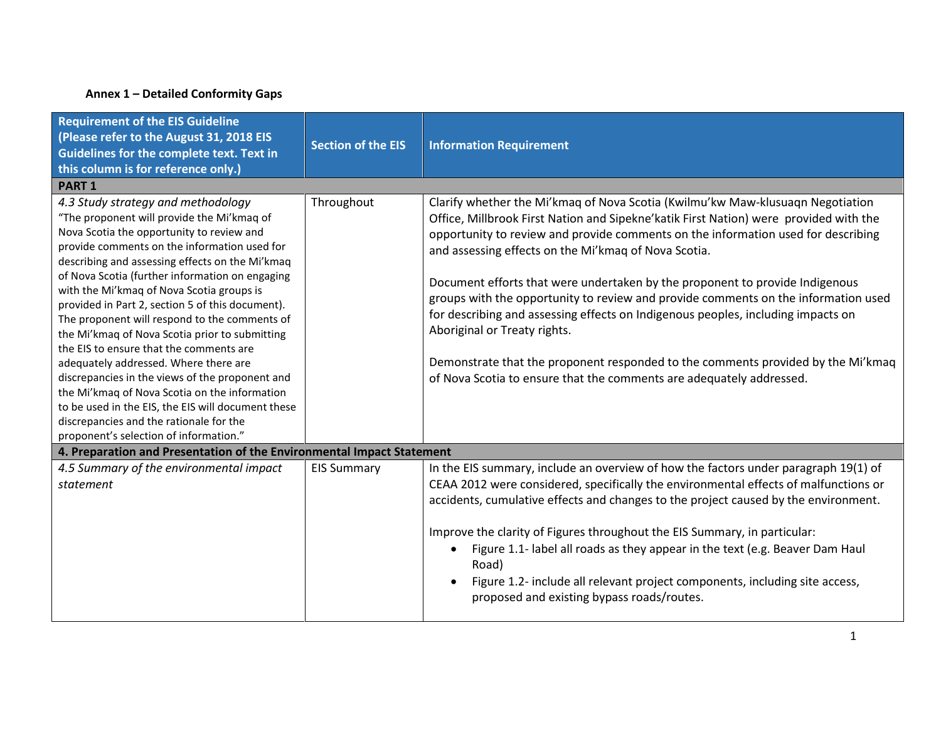## **Annex 1 – Detailed Conformity Gaps**

| <b>Requirement of the EIS Guideline</b><br>(Please refer to the August 31, 2018 EIS<br><b>Guidelines for the complete text. Text in</b><br>this column is for reference only.)                                                                                                                                                                                                                                                                                                                                                                                                                                                                                                                                                                                                                                             | <b>Section of the EIS</b> | <b>Information Requirement</b>                                                                                                                                                                                                                                                                                                                                                                                                                                                                                                                                                                                                                                                                                                                                              |
|----------------------------------------------------------------------------------------------------------------------------------------------------------------------------------------------------------------------------------------------------------------------------------------------------------------------------------------------------------------------------------------------------------------------------------------------------------------------------------------------------------------------------------------------------------------------------------------------------------------------------------------------------------------------------------------------------------------------------------------------------------------------------------------------------------------------------|---------------------------|-----------------------------------------------------------------------------------------------------------------------------------------------------------------------------------------------------------------------------------------------------------------------------------------------------------------------------------------------------------------------------------------------------------------------------------------------------------------------------------------------------------------------------------------------------------------------------------------------------------------------------------------------------------------------------------------------------------------------------------------------------------------------------|
| <b>PART 1</b>                                                                                                                                                                                                                                                                                                                                                                                                                                                                                                                                                                                                                                                                                                                                                                                                              |                           |                                                                                                                                                                                                                                                                                                                                                                                                                                                                                                                                                                                                                                                                                                                                                                             |
| 4.3 Study strategy and methodology<br>"The proponent will provide the Mi'kmaq of<br>Nova Scotia the opportunity to review and<br>provide comments on the information used for<br>describing and assessing effects on the Mi'kmaq<br>of Nova Scotia (further information on engaging<br>with the Mi'kmaq of Nova Scotia groups is<br>provided in Part 2, section 5 of this document).<br>The proponent will respond to the comments of<br>the Mi'kmaq of Nova Scotia prior to submitting<br>the EIS to ensure that the comments are<br>adequately addressed. Where there are<br>discrepancies in the views of the proponent and<br>the Mi'kmaq of Nova Scotia on the information<br>to be used in the EIS, the EIS will document these<br>discrepancies and the rationale for the<br>proponent's selection of information." | Throughout                | Clarify whether the Mi'kmaq of Nova Scotia (Kwilmu'kw Maw-klusuaqn Negotiation<br>Office, Millbrook First Nation and Sipekne' katik First Nation) were provided with the<br>opportunity to review and provide comments on the information used for describing<br>and assessing effects on the Mi'kmaq of Nova Scotia.<br>Document efforts that were undertaken by the proponent to provide Indigenous<br>groups with the opportunity to review and provide comments on the information used<br>for describing and assessing effects on Indigenous peoples, including impacts on<br>Aboriginal or Treaty rights.<br>Demonstrate that the proponent responded to the comments provided by the Mi'kmaq<br>of Nova Scotia to ensure that the comments are adequately addressed. |
| 4. Preparation and Presentation of the Environmental Impact Statement                                                                                                                                                                                                                                                                                                                                                                                                                                                                                                                                                                                                                                                                                                                                                      |                           |                                                                                                                                                                                                                                                                                                                                                                                                                                                                                                                                                                                                                                                                                                                                                                             |
| 4.5 Summary of the environmental impact<br>statement                                                                                                                                                                                                                                                                                                                                                                                                                                                                                                                                                                                                                                                                                                                                                                       | <b>EIS Summary</b>        | In the EIS summary, include an overview of how the factors under paragraph 19(1) of<br>CEAA 2012 were considered, specifically the environmental effects of malfunctions or<br>accidents, cumulative effects and changes to the project caused by the environment.<br>Improve the clarity of Figures throughout the EIS Summary, in particular:<br>Figure 1.1- label all roads as they appear in the text (e.g. Beaver Dam Haul<br>$\bullet$<br>Road)<br>Figure 1.2- include all relevant project components, including site access,<br>proposed and existing bypass roads/routes.                                                                                                                                                                                          |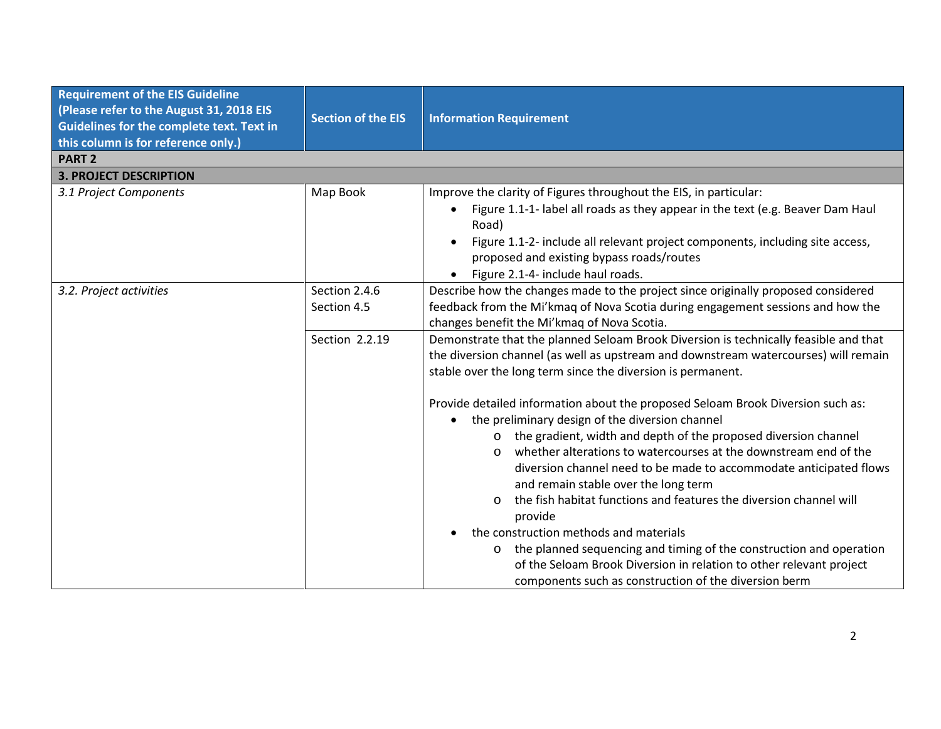| <b>Requirement of the EIS Guideline</b><br>(Please refer to the August 31, 2018 EIS<br>Guidelines for the complete text. Text in<br>this column is for reference only.) | <b>Section of the EIS</b> | <b>Information Requirement</b>                                                                                                                                                                                                             |
|-------------------------------------------------------------------------------------------------------------------------------------------------------------------------|---------------------------|--------------------------------------------------------------------------------------------------------------------------------------------------------------------------------------------------------------------------------------------|
| <b>PART 2</b>                                                                                                                                                           |                           |                                                                                                                                                                                                                                            |
| <b>3. PROJECT DESCRIPTION</b>                                                                                                                                           |                           |                                                                                                                                                                                                                                            |
| 3.1 Project Components                                                                                                                                                  | Map Book                  | Improve the clarity of Figures throughout the EIS, in particular:                                                                                                                                                                          |
|                                                                                                                                                                         |                           | Figure 1.1-1- label all roads as they appear in the text (e.g. Beaver Dam Haul<br>Road)                                                                                                                                                    |
|                                                                                                                                                                         |                           | Figure 1.1-2- include all relevant project components, including site access,<br>proposed and existing bypass roads/routes                                                                                                                 |
|                                                                                                                                                                         |                           | Figure 2.1-4- include haul roads.                                                                                                                                                                                                          |
| 3.2. Project activities                                                                                                                                                 | Section 2.4.6             | Describe how the changes made to the project since originally proposed considered                                                                                                                                                          |
|                                                                                                                                                                         | Section 4.5               | feedback from the Mi'kmaq of Nova Scotia during engagement sessions and how the<br>changes benefit the Mi'kmaq of Nova Scotia.                                                                                                             |
|                                                                                                                                                                         | Section 2.2.19            | Demonstrate that the planned Seloam Brook Diversion is technically feasible and that<br>the diversion channel (as well as upstream and downstream watercourses) will remain<br>stable over the long term since the diversion is permanent. |
|                                                                                                                                                                         |                           | Provide detailed information about the proposed Seloam Brook Diversion such as:<br>the preliminary design of the diversion channel                                                                                                         |
|                                                                                                                                                                         |                           | the gradient, width and depth of the proposed diversion channel<br>$\circ$                                                                                                                                                                 |
|                                                                                                                                                                         |                           | whether alterations to watercourses at the downstream end of the<br>$\circ$                                                                                                                                                                |
|                                                                                                                                                                         |                           | diversion channel need to be made to accommodate anticipated flows<br>and remain stable over the long term                                                                                                                                 |
|                                                                                                                                                                         |                           | the fish habitat functions and features the diversion channel will<br>$\Omega$                                                                                                                                                             |
|                                                                                                                                                                         |                           | provide                                                                                                                                                                                                                                    |
|                                                                                                                                                                         |                           | the construction methods and materials                                                                                                                                                                                                     |
|                                                                                                                                                                         |                           | the planned sequencing and timing of the construction and operation<br>$\circ$                                                                                                                                                             |
|                                                                                                                                                                         |                           | of the Seloam Brook Diversion in relation to other relevant project                                                                                                                                                                        |
|                                                                                                                                                                         |                           | components such as construction of the diversion berm                                                                                                                                                                                      |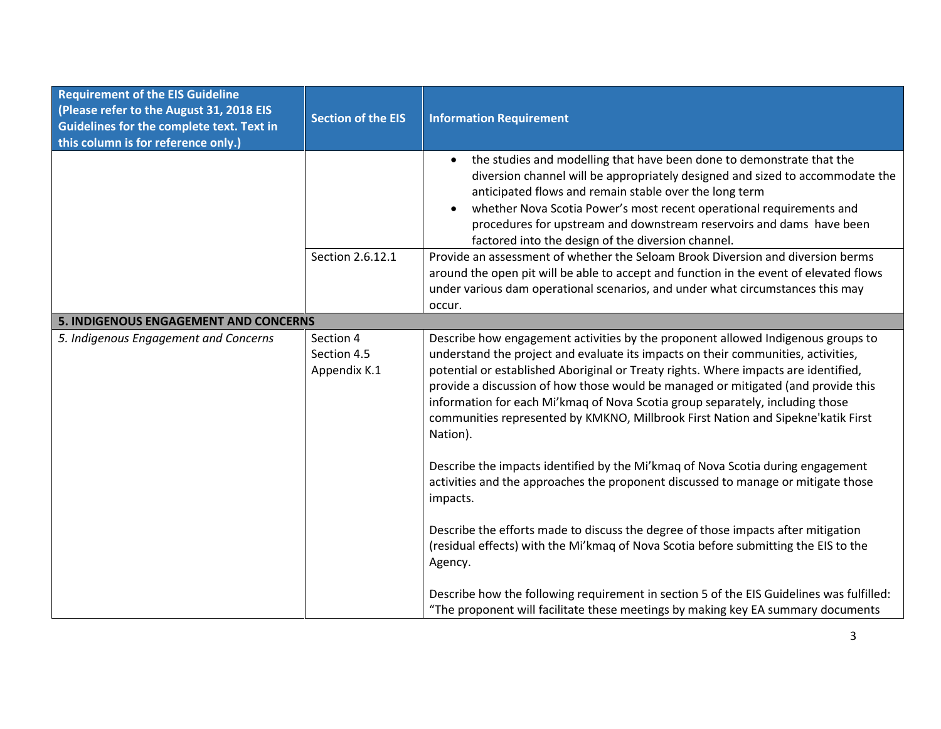| <b>Requirement of the EIS Guideline</b><br>(Please refer to the August 31, 2018 EIS<br>Guidelines for the complete text. Text in<br>this column is for reference only.) | <b>Section of the EIS</b>                | <b>Information Requirement</b>                                                                                                                                                                                                                                                                                                                                                                                                                                                                                                                                                                                        |
|-------------------------------------------------------------------------------------------------------------------------------------------------------------------------|------------------------------------------|-----------------------------------------------------------------------------------------------------------------------------------------------------------------------------------------------------------------------------------------------------------------------------------------------------------------------------------------------------------------------------------------------------------------------------------------------------------------------------------------------------------------------------------------------------------------------------------------------------------------------|
|                                                                                                                                                                         |                                          | the studies and modelling that have been done to demonstrate that the<br>$\bullet$<br>diversion channel will be appropriately designed and sized to accommodate the<br>anticipated flows and remain stable over the long term<br>whether Nova Scotia Power's most recent operational requirements and<br>procedures for upstream and downstream reservoirs and dams have been<br>factored into the design of the diversion channel.                                                                                                                                                                                   |
|                                                                                                                                                                         | Section 2.6.12.1                         | Provide an assessment of whether the Seloam Brook Diversion and diversion berms<br>around the open pit will be able to accept and function in the event of elevated flows<br>under various dam operational scenarios, and under what circumstances this may<br>occur.                                                                                                                                                                                                                                                                                                                                                 |
| 5. INDIGENOUS ENGAGEMENT AND CONCERNS                                                                                                                                   |                                          |                                                                                                                                                                                                                                                                                                                                                                                                                                                                                                                                                                                                                       |
| 5. Indigenous Engagement and Concerns                                                                                                                                   | Section 4<br>Section 4.5<br>Appendix K.1 | Describe how engagement activities by the proponent allowed Indigenous groups to<br>understand the project and evaluate its impacts on their communities, activities,<br>potential or established Aboriginal or Treaty rights. Where impacts are identified,<br>provide a discussion of how those would be managed or mitigated (and provide this<br>information for each Mi'kmaq of Nova Scotia group separately, including those<br>communities represented by KMKNO, Millbrook First Nation and Sipekne'katik First<br>Nation).<br>Describe the impacts identified by the Mi'kmaq of Nova Scotia during engagement |
|                                                                                                                                                                         |                                          | activities and the approaches the proponent discussed to manage or mitigate those<br>impacts.<br>Describe the efforts made to discuss the degree of those impacts after mitigation<br>(residual effects) with the Mi'kmaq of Nova Scotia before submitting the EIS to the<br>Agency.<br>Describe how the following requirement in section 5 of the EIS Guidelines was fulfilled:<br>"The proponent will facilitate these meetings by making key EA summary documents                                                                                                                                                  |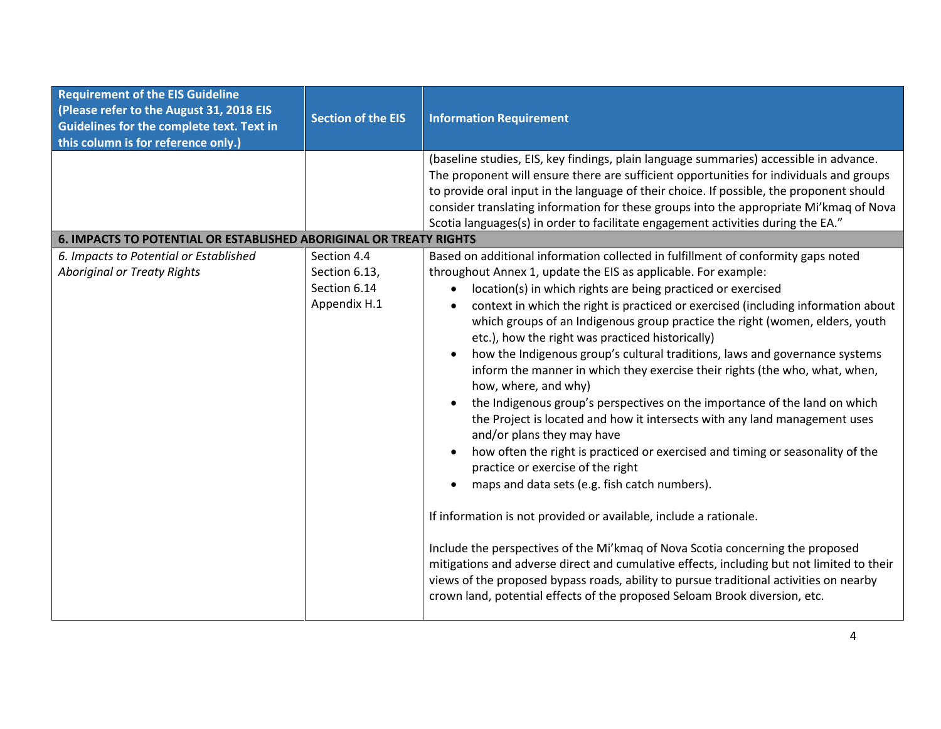| <b>Requirement of the EIS Guideline</b><br>(Please refer to the August 31, 2018 EIS<br><b>Guidelines for the complete text. Text in</b><br>this column is for reference only.) | <b>Section of the EIS</b>                                    | <b>Information Requirement</b>                                                                                                                                                                                                                                                                                                                                                                                                                                                                                                                                                                                                                                                                                                                                                                                                                                                                                                                                                                                                                                                                                                                                                                                                                                                                                                                                                                                                   |  |
|--------------------------------------------------------------------------------------------------------------------------------------------------------------------------------|--------------------------------------------------------------|----------------------------------------------------------------------------------------------------------------------------------------------------------------------------------------------------------------------------------------------------------------------------------------------------------------------------------------------------------------------------------------------------------------------------------------------------------------------------------------------------------------------------------------------------------------------------------------------------------------------------------------------------------------------------------------------------------------------------------------------------------------------------------------------------------------------------------------------------------------------------------------------------------------------------------------------------------------------------------------------------------------------------------------------------------------------------------------------------------------------------------------------------------------------------------------------------------------------------------------------------------------------------------------------------------------------------------------------------------------------------------------------------------------------------------|--|
|                                                                                                                                                                                |                                                              | (baseline studies, EIS, key findings, plain language summaries) accessible in advance.<br>The proponent will ensure there are sufficient opportunities for individuals and groups<br>to provide oral input in the language of their choice. If possible, the proponent should<br>consider translating information for these groups into the appropriate Mi'kmaq of Nova<br>Scotia languages(s) in order to facilitate engagement activities during the EA."                                                                                                                                                                                                                                                                                                                                                                                                                                                                                                                                                                                                                                                                                                                                                                                                                                                                                                                                                                      |  |
| <b>6. IMPACTS TO POTENTIAL OR ESTABLISHED ABORIGINAL OR TREATY RIGHTS</b>                                                                                                      |                                                              |                                                                                                                                                                                                                                                                                                                                                                                                                                                                                                                                                                                                                                                                                                                                                                                                                                                                                                                                                                                                                                                                                                                                                                                                                                                                                                                                                                                                                                  |  |
| 6. Impacts to Potential or Established<br><b>Aboriginal or Treaty Rights</b>                                                                                                   | Section 4.4<br>Section 6.13,<br>Section 6.14<br>Appendix H.1 | Based on additional information collected in fulfillment of conformity gaps noted<br>throughout Annex 1, update the EIS as applicable. For example:<br>location(s) in which rights are being practiced or exercised<br>context in which the right is practiced or exercised (including information about<br>which groups of an Indigenous group practice the right (women, elders, youth<br>etc.), how the right was practiced historically)<br>how the Indigenous group's cultural traditions, laws and governance systems<br>inform the manner in which they exercise their rights (the who, what, when,<br>how, where, and why)<br>the Indigenous group's perspectives on the importance of the land on which<br>the Project is located and how it intersects with any land management uses<br>and/or plans they may have<br>how often the right is practiced or exercised and timing or seasonality of the<br>practice or exercise of the right<br>maps and data sets (e.g. fish catch numbers).<br>If information is not provided or available, include a rationale.<br>Include the perspectives of the Mi'kmaq of Nova Scotia concerning the proposed<br>mitigations and adverse direct and cumulative effects, including but not limited to their<br>views of the proposed bypass roads, ability to pursue traditional activities on nearby<br>crown land, potential effects of the proposed Seloam Brook diversion, etc. |  |

4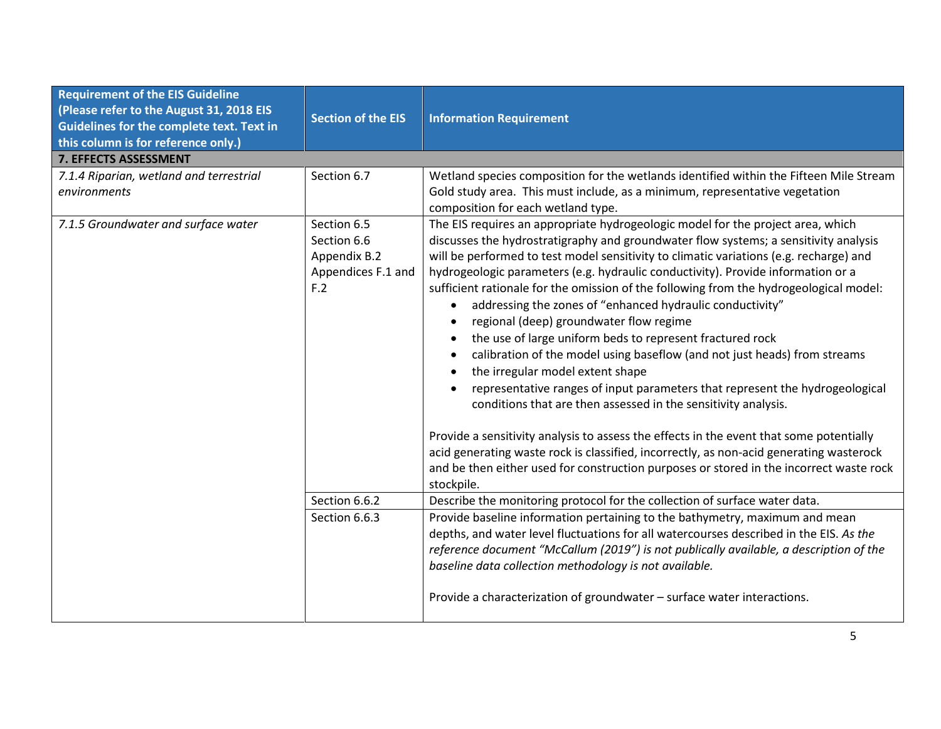| <b>Requirement of the EIS Guideline</b>                 |                                                                         |                                                                                                                                                                                                                                                                                                                                                                                                                                                                                                                                                                                                                                                                                                                                                                                                                                                                                                                                                                                                                          |  |
|---------------------------------------------------------|-------------------------------------------------------------------------|--------------------------------------------------------------------------------------------------------------------------------------------------------------------------------------------------------------------------------------------------------------------------------------------------------------------------------------------------------------------------------------------------------------------------------------------------------------------------------------------------------------------------------------------------------------------------------------------------------------------------------------------------------------------------------------------------------------------------------------------------------------------------------------------------------------------------------------------------------------------------------------------------------------------------------------------------------------------------------------------------------------------------|--|
| (Please refer to the August 31, 2018 EIS                | <b>Section of the EIS</b>                                               | <b>Information Requirement</b>                                                                                                                                                                                                                                                                                                                                                                                                                                                                                                                                                                                                                                                                                                                                                                                                                                                                                                                                                                                           |  |
| <b>Guidelines for the complete text. Text in</b>        |                                                                         |                                                                                                                                                                                                                                                                                                                                                                                                                                                                                                                                                                                                                                                                                                                                                                                                                                                                                                                                                                                                                          |  |
| this column is for reference only.)                     |                                                                         |                                                                                                                                                                                                                                                                                                                                                                                                                                                                                                                                                                                                                                                                                                                                                                                                                                                                                                                                                                                                                          |  |
| 7. EFFECTS ASSESSMENT                                   |                                                                         |                                                                                                                                                                                                                                                                                                                                                                                                                                                                                                                                                                                                                                                                                                                                                                                                                                                                                                                                                                                                                          |  |
| 7.1.4 Riparian, wetland and terrestrial<br>environments | Section 6.7                                                             | Wetland species composition for the wetlands identified within the Fifteen Mile Stream<br>Gold study area. This must include, as a minimum, representative vegetation                                                                                                                                                                                                                                                                                                                                                                                                                                                                                                                                                                                                                                                                                                                                                                                                                                                    |  |
| 7.1.5 Groundwater and surface water                     | Section 6.5<br>Section 6.6<br>Appendix B.2<br>Appendices F.1 and<br>F.2 | composition for each wetland type.<br>The EIS requires an appropriate hydrogeologic model for the project area, which<br>discusses the hydrostratigraphy and groundwater flow systems; a sensitivity analysis<br>will be performed to test model sensitivity to climatic variations (e.g. recharge) and<br>hydrogeologic parameters (e.g. hydraulic conductivity). Provide information or a<br>sufficient rationale for the omission of the following from the hydrogeological model:<br>addressing the zones of "enhanced hydraulic conductivity"<br>regional (deep) groundwater flow regime<br>the use of large uniform beds to represent fractured rock<br>calibration of the model using baseflow (and not just heads) from streams<br>the irregular model extent shape<br>representative ranges of input parameters that represent the hydrogeological<br>conditions that are then assessed in the sensitivity analysis.<br>Provide a sensitivity analysis to assess the effects in the event that some potentially |  |
|                                                         |                                                                         | acid generating waste rock is classified, incorrectly, as non-acid generating wasterock<br>and be then either used for construction purposes or stored in the incorrect waste rock<br>stockpile.                                                                                                                                                                                                                                                                                                                                                                                                                                                                                                                                                                                                                                                                                                                                                                                                                         |  |
|                                                         | Section 6.6.2                                                           | Describe the monitoring protocol for the collection of surface water data.                                                                                                                                                                                                                                                                                                                                                                                                                                                                                                                                                                                                                                                                                                                                                                                                                                                                                                                                               |  |
|                                                         | Section 6.6.3                                                           | Provide baseline information pertaining to the bathymetry, maximum and mean<br>depths, and water level fluctuations for all watercourses described in the EIS. As the<br>reference document "McCallum (2019") is not publically available, a description of the<br>baseline data collection methodology is not available.                                                                                                                                                                                                                                                                                                                                                                                                                                                                                                                                                                                                                                                                                                |  |
|                                                         |                                                                         | Provide a characterization of groundwater - surface water interactions.                                                                                                                                                                                                                                                                                                                                                                                                                                                                                                                                                                                                                                                                                                                                                                                                                                                                                                                                                  |  |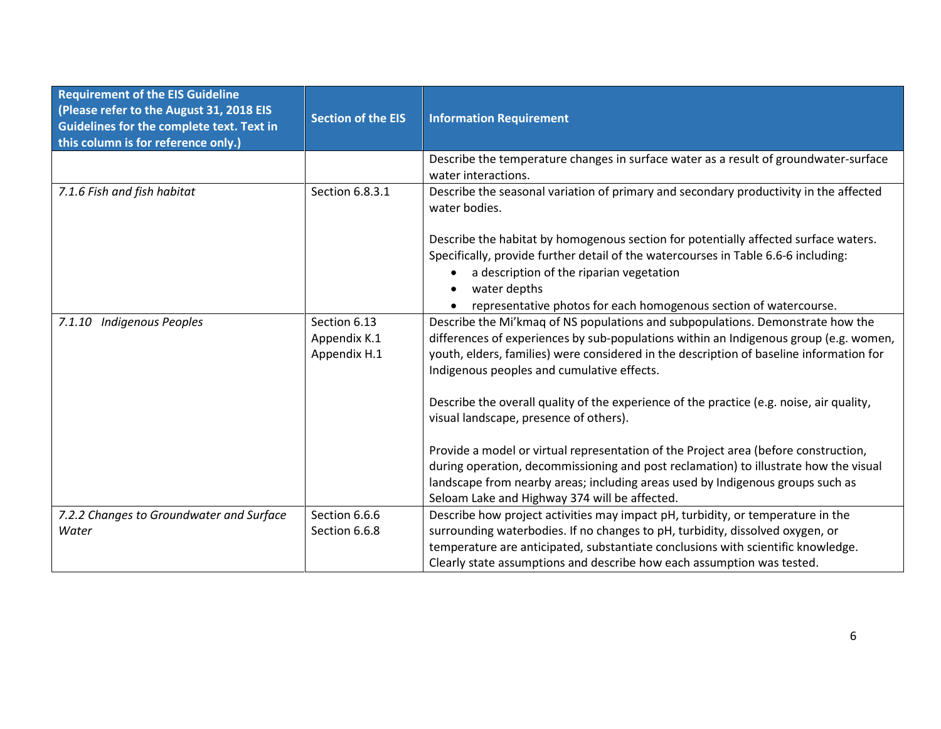| <b>Requirement of the EIS Guideline</b><br>(Please refer to the August 31, 2018 EIS<br>Guidelines for the complete text. Text in<br>this column is for reference only.) | <b>Section of the EIS</b>                    | <b>Information Requirement</b>                                                                                                                                                                                                                                                                                                                                                                                                                                                                                                                                                                                                                                                                                                                                           |
|-------------------------------------------------------------------------------------------------------------------------------------------------------------------------|----------------------------------------------|--------------------------------------------------------------------------------------------------------------------------------------------------------------------------------------------------------------------------------------------------------------------------------------------------------------------------------------------------------------------------------------------------------------------------------------------------------------------------------------------------------------------------------------------------------------------------------------------------------------------------------------------------------------------------------------------------------------------------------------------------------------------------|
|                                                                                                                                                                         |                                              | Describe the temperature changes in surface water as a result of groundwater-surface<br>water interactions.                                                                                                                                                                                                                                                                                                                                                                                                                                                                                                                                                                                                                                                              |
| 7.1.6 Fish and fish habitat                                                                                                                                             | Section 6.8.3.1                              | Describe the seasonal variation of primary and secondary productivity in the affected<br>water bodies.<br>Describe the habitat by homogenous section for potentially affected surface waters.<br>Specifically, provide further detail of the watercourses in Table 6.6-6 including:<br>a description of the riparian vegetation<br>water depths<br>representative photos for each homogenous section of watercourse.                                                                                                                                                                                                                                                                                                                                                     |
| <b>Indigenous Peoples</b><br>7.1.10                                                                                                                                     | Section 6.13<br>Appendix K.1<br>Appendix H.1 | Describe the Mi'kmaq of NS populations and subpopulations. Demonstrate how the<br>differences of experiences by sub-populations within an Indigenous group (e.g. women,<br>youth, elders, families) were considered in the description of baseline information for<br>Indigenous peoples and cumulative effects.<br>Describe the overall quality of the experience of the practice (e.g. noise, air quality,<br>visual landscape, presence of others).<br>Provide a model or virtual representation of the Project area (before construction,<br>during operation, decommissioning and post reclamation) to illustrate how the visual<br>landscape from nearby areas; including areas used by Indigenous groups such as<br>Seloam Lake and Highway 374 will be affected. |
| 7.2.2 Changes to Groundwater and Surface<br>Water                                                                                                                       | Section 6.6.6<br>Section 6.6.8               | Describe how project activities may impact pH, turbidity, or temperature in the<br>surrounding waterbodies. If no changes to pH, turbidity, dissolved oxygen, or<br>temperature are anticipated, substantiate conclusions with scientific knowledge.<br>Clearly state assumptions and describe how each assumption was tested.                                                                                                                                                                                                                                                                                                                                                                                                                                           |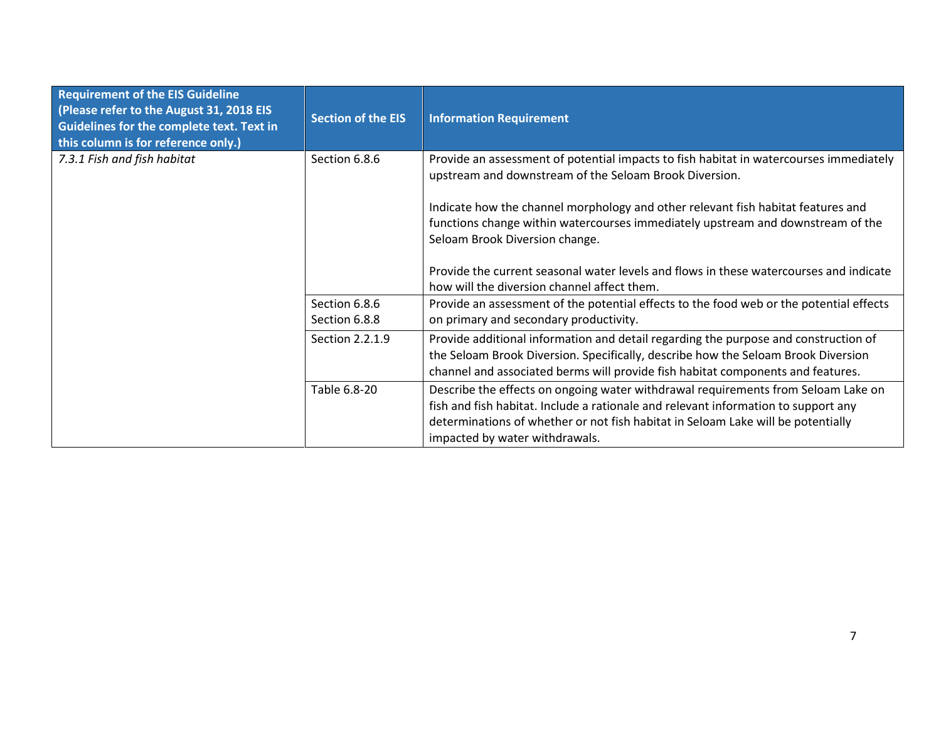| <b>Requirement of the EIS Guideline</b><br>(Please refer to the August 31, 2018 EIS<br>Guidelines for the complete text. Text in<br>this column is for reference only.) | <b>Section of the EIS</b>      | <b>Information Requirement</b>                                                                                                                                                                                                                                                                |
|-------------------------------------------------------------------------------------------------------------------------------------------------------------------------|--------------------------------|-----------------------------------------------------------------------------------------------------------------------------------------------------------------------------------------------------------------------------------------------------------------------------------------------|
| 7.3.1 Fish and fish habitat                                                                                                                                             | Section 6.8.6                  | Provide an assessment of potential impacts to fish habitat in watercourses immediately<br>upstream and downstream of the Seloam Brook Diversion.                                                                                                                                              |
|                                                                                                                                                                         |                                | Indicate how the channel morphology and other relevant fish habitat features and<br>functions change within watercourses immediately upstream and downstream of the<br>Seloam Brook Diversion change.                                                                                         |
|                                                                                                                                                                         |                                | Provide the current seasonal water levels and flows in these watercourses and indicate<br>how will the diversion channel affect them.                                                                                                                                                         |
|                                                                                                                                                                         | Section 6.8.6<br>Section 6.8.8 | Provide an assessment of the potential effects to the food web or the potential effects<br>on primary and secondary productivity.                                                                                                                                                             |
|                                                                                                                                                                         | Section 2.2.1.9                | Provide additional information and detail regarding the purpose and construction of<br>the Seloam Brook Diversion. Specifically, describe how the Seloam Brook Diversion<br>channel and associated berms will provide fish habitat components and features.                                   |
|                                                                                                                                                                         | Table 6.8-20                   | Describe the effects on ongoing water withdrawal requirements from Seloam Lake on<br>fish and fish habitat. Include a rationale and relevant information to support any<br>determinations of whether or not fish habitat in Seloam Lake will be potentially<br>impacted by water withdrawals. |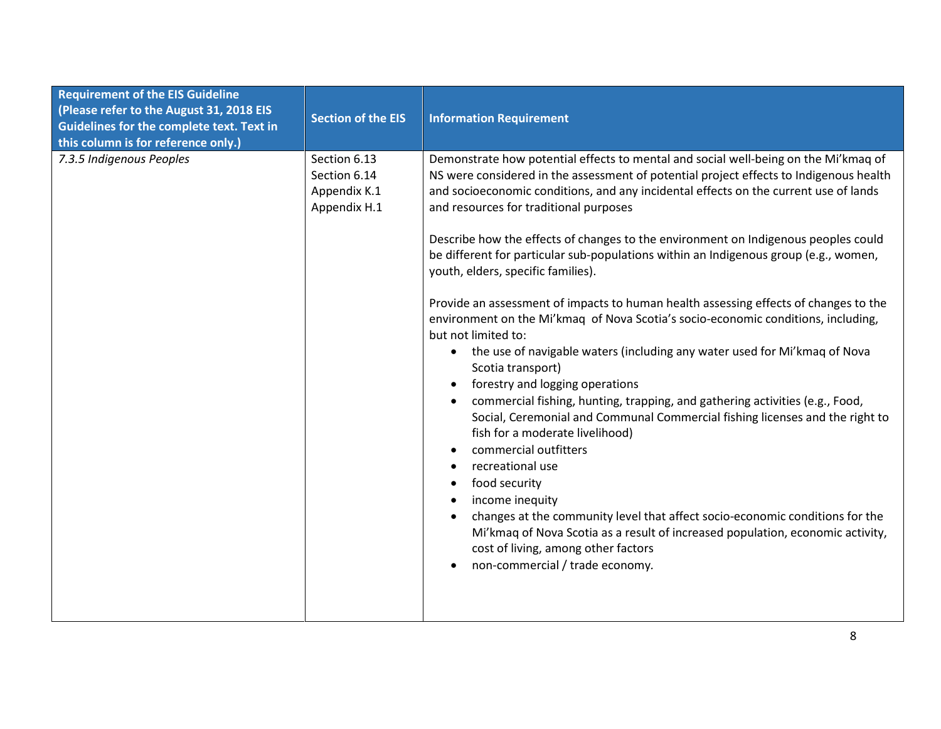| <b>Requirement of the EIS Guideline</b><br>(Please refer to the August 31, 2018 EIS<br><b>Guidelines for the complete text. Text in</b><br>this column is for reference only.) | <b>Section of the EIS</b>                                    | <b>Information Requirement</b>                                                                                                                                                                                                                                                                                                                                                                                                                                                                                                                                                                                                                                                                                                                                                                                                                                                                                                                                                                                                                                                                                                                                                                                                                                                                                                                                                                                      |
|--------------------------------------------------------------------------------------------------------------------------------------------------------------------------------|--------------------------------------------------------------|---------------------------------------------------------------------------------------------------------------------------------------------------------------------------------------------------------------------------------------------------------------------------------------------------------------------------------------------------------------------------------------------------------------------------------------------------------------------------------------------------------------------------------------------------------------------------------------------------------------------------------------------------------------------------------------------------------------------------------------------------------------------------------------------------------------------------------------------------------------------------------------------------------------------------------------------------------------------------------------------------------------------------------------------------------------------------------------------------------------------------------------------------------------------------------------------------------------------------------------------------------------------------------------------------------------------------------------------------------------------------------------------------------------------|
| 7.3.5 Indigenous Peoples                                                                                                                                                       | Section 6.13<br>Section 6.14<br>Appendix K.1<br>Appendix H.1 | Demonstrate how potential effects to mental and social well-being on the Mi'kmaq of<br>NS were considered in the assessment of potential project effects to Indigenous health<br>and socioeconomic conditions, and any incidental effects on the current use of lands<br>and resources for traditional purposes<br>Describe how the effects of changes to the environment on Indigenous peoples could<br>be different for particular sub-populations within an Indigenous group (e.g., women,<br>youth, elders, specific families).<br>Provide an assessment of impacts to human health assessing effects of changes to the<br>environment on the Mi'kmaq of Nova Scotia's socio-economic conditions, including,<br>but not limited to:<br>• the use of navigable waters (including any water used for Mi'kmaq of Nova<br>Scotia transport)<br>forestry and logging operations<br>commercial fishing, hunting, trapping, and gathering activities (e.g., Food,<br>Social, Ceremonial and Communal Commercial fishing licenses and the right to<br>fish for a moderate livelihood)<br>commercial outfitters<br>recreational use<br>food security<br>٠<br>income inequity<br>changes at the community level that affect socio-economic conditions for the<br>Mi'kmaq of Nova Scotia as a result of increased population, economic activity,<br>cost of living, among other factors<br>non-commercial / trade economy. |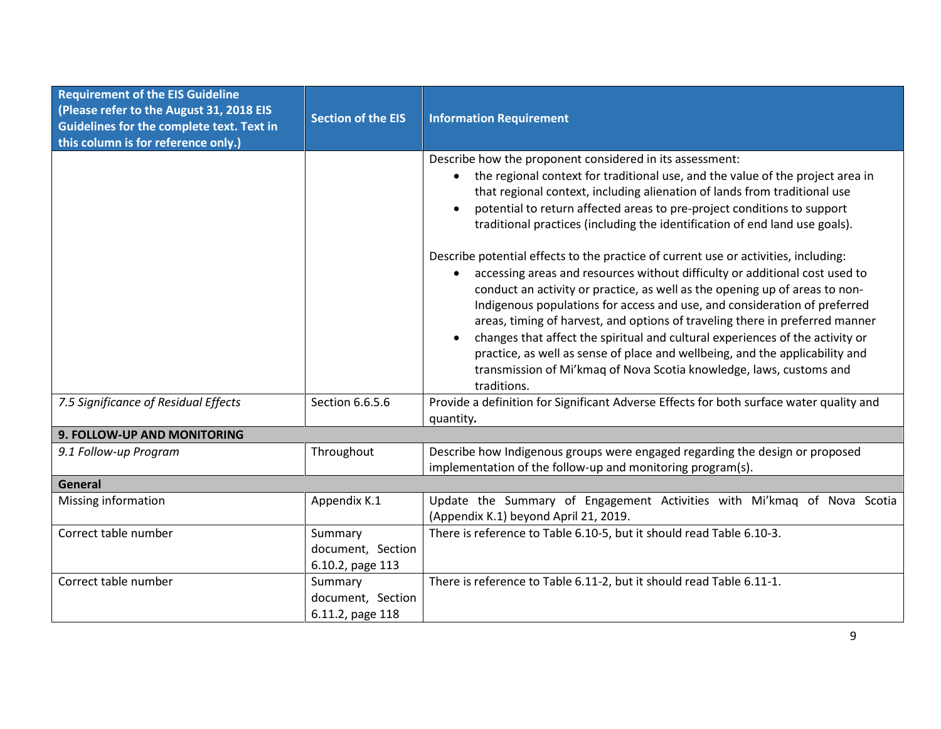| <b>Requirement of the EIS Guideline</b><br>(Please refer to the August 31, 2018 EIS<br><b>Guidelines for the complete text. Text in</b><br>this column is for reference only.) | <b>Section of the EIS</b>                        | <b>Information Requirement</b>                                                                                                                                                                                                                                                                                                                                                                                                                                                                                                                                                                                                                                                                                                                                                                                                                                                                                                                                                                                                                                                                    |  |
|--------------------------------------------------------------------------------------------------------------------------------------------------------------------------------|--------------------------------------------------|---------------------------------------------------------------------------------------------------------------------------------------------------------------------------------------------------------------------------------------------------------------------------------------------------------------------------------------------------------------------------------------------------------------------------------------------------------------------------------------------------------------------------------------------------------------------------------------------------------------------------------------------------------------------------------------------------------------------------------------------------------------------------------------------------------------------------------------------------------------------------------------------------------------------------------------------------------------------------------------------------------------------------------------------------------------------------------------------------|--|
|                                                                                                                                                                                |                                                  | Describe how the proponent considered in its assessment:<br>the regional context for traditional use, and the value of the project area in<br>$\bullet$<br>that regional context, including alienation of lands from traditional use<br>potential to return affected areas to pre-project conditions to support<br>traditional practices (including the identification of end land use goals).<br>Describe potential effects to the practice of current use or activities, including:<br>accessing areas and resources without difficulty or additional cost used to<br>$\bullet$<br>conduct an activity or practice, as well as the opening up of areas to non-<br>Indigenous populations for access and use, and consideration of preferred<br>areas, timing of harvest, and options of traveling there in preferred manner<br>changes that affect the spiritual and cultural experiences of the activity or<br>$\bullet$<br>practice, as well as sense of place and wellbeing, and the applicability and<br>transmission of Mi'kmaq of Nova Scotia knowledge, laws, customs and<br>traditions. |  |
| 7.5 Significance of Residual Effects                                                                                                                                           | Section 6.6.5.6                                  | Provide a definition for Significant Adverse Effects for both surface water quality and<br>quantity.                                                                                                                                                                                                                                                                                                                                                                                                                                                                                                                                                                                                                                                                                                                                                                                                                                                                                                                                                                                              |  |
| 9. FOLLOW-UP AND MONITORING                                                                                                                                                    |                                                  |                                                                                                                                                                                                                                                                                                                                                                                                                                                                                                                                                                                                                                                                                                                                                                                                                                                                                                                                                                                                                                                                                                   |  |
| 9.1 Follow-up Program                                                                                                                                                          | Throughout                                       | Describe how Indigenous groups were engaged regarding the design or proposed<br>implementation of the follow-up and monitoring program(s).                                                                                                                                                                                                                                                                                                                                                                                                                                                                                                                                                                                                                                                                                                                                                                                                                                                                                                                                                        |  |
| <b>General</b>                                                                                                                                                                 |                                                  |                                                                                                                                                                                                                                                                                                                                                                                                                                                                                                                                                                                                                                                                                                                                                                                                                                                                                                                                                                                                                                                                                                   |  |
| Missing information                                                                                                                                                            | Appendix K.1                                     | Update the Summary of Engagement Activities with Mi'kmaq of Nova Scotia<br>(Appendix K.1) beyond April 21, 2019.                                                                                                                                                                                                                                                                                                                                                                                                                                                                                                                                                                                                                                                                                                                                                                                                                                                                                                                                                                                  |  |
| Correct table number                                                                                                                                                           | Summary<br>document, Section<br>6.10.2, page 113 | There is reference to Table 6.10-5, but it should read Table 6.10-3.                                                                                                                                                                                                                                                                                                                                                                                                                                                                                                                                                                                                                                                                                                                                                                                                                                                                                                                                                                                                                              |  |
| Correct table number                                                                                                                                                           | Summary<br>document, Section<br>6.11.2, page 118 | There is reference to Table 6.11-2, but it should read Table 6.11-1.                                                                                                                                                                                                                                                                                                                                                                                                                                                                                                                                                                                                                                                                                                                                                                                                                                                                                                                                                                                                                              |  |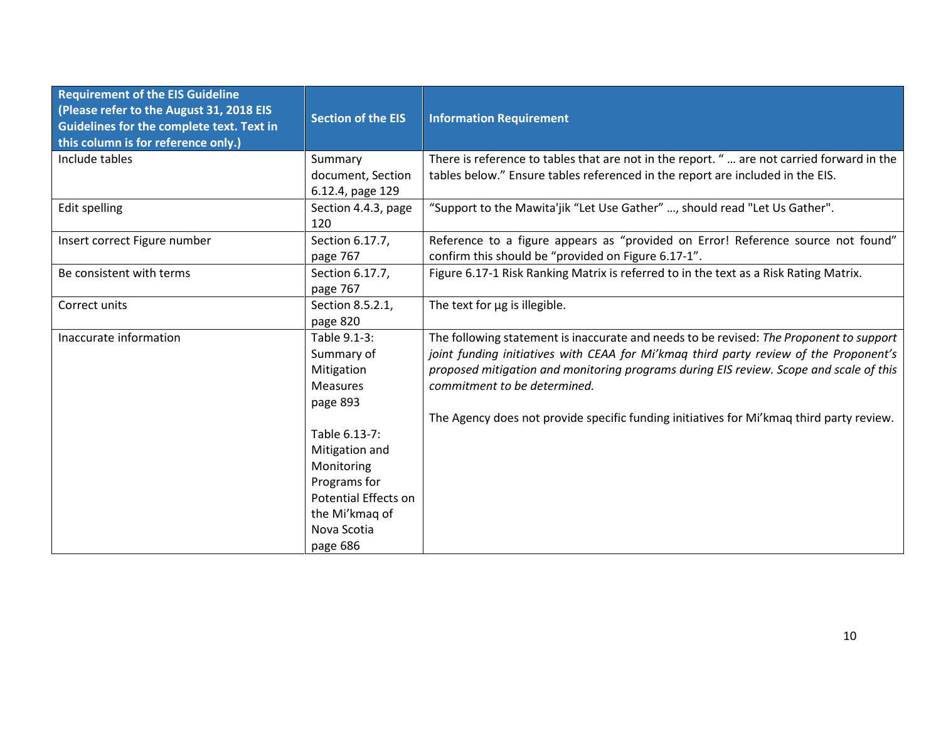| <b>Requirement of the EIS Guideline</b><br>(Please refer to the August 31, 2018 EIS<br><b>Guidelines for the complete text. Text in</b><br>this column is for reference only.) | <b>Section of the EIS</b> | <b>Information Requirement</b>                                                             |
|--------------------------------------------------------------------------------------------------------------------------------------------------------------------------------|---------------------------|--------------------------------------------------------------------------------------------|
| Include tables                                                                                                                                                                 | Summary                   | There is reference to tables that are not in the report. "  are not carried forward in the |
|                                                                                                                                                                                | document, Section         | tables below." Ensure tables referenced in the report are included in the EIS.             |
|                                                                                                                                                                                | 6.12.4, page 129          |                                                                                            |
| Edit spelling                                                                                                                                                                  | Section 4.4.3, page       | "Support to the Mawita'jik "Let Use Gather" , should read "Let Us Gather".                 |
|                                                                                                                                                                                | 120                       |                                                                                            |
| Insert correct Figure number                                                                                                                                                   | Section 6.17.7,           | Reference to a figure appears as "provided on Error! Reference source not found"           |
|                                                                                                                                                                                | page 767                  | confirm this should be "provided on Figure 6.17-1".                                        |
| Be consistent with terms                                                                                                                                                       | Section 6.17.7,           | Figure 6.17-1 Risk Ranking Matrix is referred to in the text as a Risk Rating Matrix.      |
|                                                                                                                                                                                | page 767                  |                                                                                            |
| Correct units                                                                                                                                                                  | Section 8.5.2.1,          | The text for ug is illegible.                                                              |
|                                                                                                                                                                                | page 820                  |                                                                                            |
| Inaccurate information                                                                                                                                                         | Table 9.1-3:              | The following statement is inaccurate and needs to be revised: The Proponent to support    |
|                                                                                                                                                                                | Summary of                | joint funding initiatives with CEAA for Mi'kmaq third party review of the Proponent's      |
|                                                                                                                                                                                | Mitigation                | proposed mitigation and monitoring programs during EIS review. Scope and scale of this     |
|                                                                                                                                                                                | <b>Measures</b>           | commitment to be determined.                                                               |
|                                                                                                                                                                                | page 893                  |                                                                                            |
|                                                                                                                                                                                |                           | The Agency does not provide specific funding initiatives for Mi'kmaq third party review.   |
|                                                                                                                                                                                | Table 6.13-7:             |                                                                                            |
|                                                                                                                                                                                | Mitigation and            |                                                                                            |
|                                                                                                                                                                                | Monitoring                |                                                                                            |
|                                                                                                                                                                                | Programs for              |                                                                                            |
|                                                                                                                                                                                | Potential Effects on      |                                                                                            |
|                                                                                                                                                                                | the Mi'kmag of            |                                                                                            |
|                                                                                                                                                                                | Nova Scotia               |                                                                                            |
|                                                                                                                                                                                | page 686                  |                                                                                            |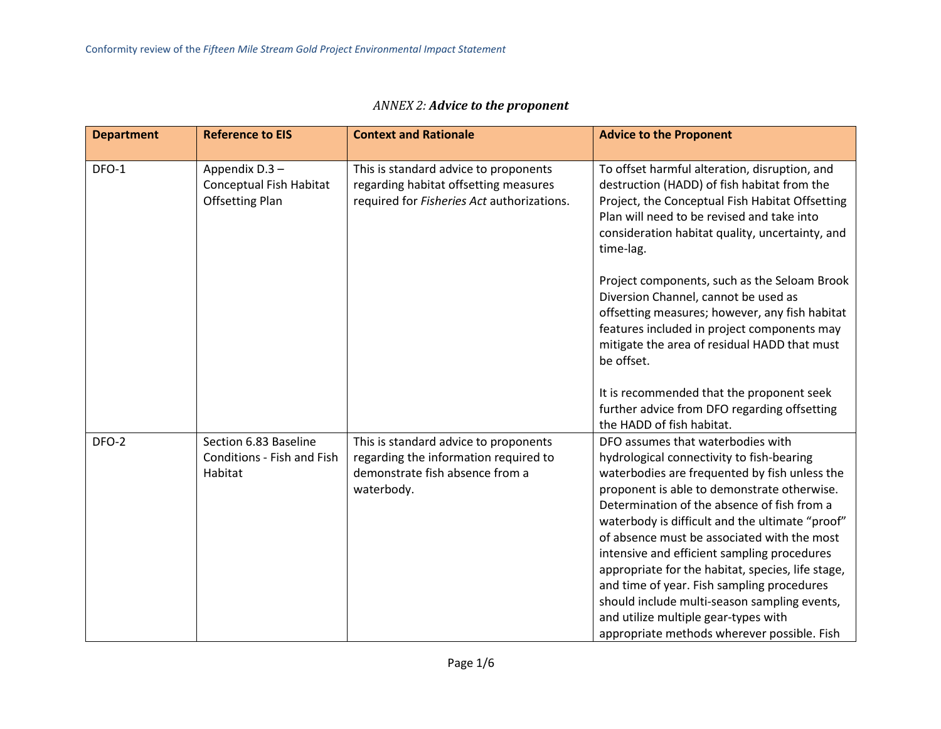| <b>Department</b> | <b>Reference to EIS</b>                                                    | <b>Context and Rationale</b>                                                                                                    | <b>Advice to the Proponent</b>                                                                                                                                                                                                                                                                                                                                                                                                                                                                                                                                                                                           |
|-------------------|----------------------------------------------------------------------------|---------------------------------------------------------------------------------------------------------------------------------|--------------------------------------------------------------------------------------------------------------------------------------------------------------------------------------------------------------------------------------------------------------------------------------------------------------------------------------------------------------------------------------------------------------------------------------------------------------------------------------------------------------------------------------------------------------------------------------------------------------------------|
|                   |                                                                            |                                                                                                                                 |                                                                                                                                                                                                                                                                                                                                                                                                                                                                                                                                                                                                                          |
| DFO-1             | Appendix D.3 -<br><b>Conceptual Fish Habitat</b><br><b>Offsetting Plan</b> | This is standard advice to proponents<br>regarding habitat offsetting measures<br>required for Fisheries Act authorizations.    | To offset harmful alteration, disruption, and<br>destruction (HADD) of fish habitat from the<br>Project, the Conceptual Fish Habitat Offsetting<br>Plan will need to be revised and take into<br>consideration habitat quality, uncertainty, and<br>time-lag.                                                                                                                                                                                                                                                                                                                                                            |
|                   |                                                                            |                                                                                                                                 | Project components, such as the Seloam Brook<br>Diversion Channel, cannot be used as<br>offsetting measures; however, any fish habitat<br>features included in project components may<br>mitigate the area of residual HADD that must<br>be offset.                                                                                                                                                                                                                                                                                                                                                                      |
|                   |                                                                            |                                                                                                                                 | It is recommended that the proponent seek<br>further advice from DFO regarding offsetting<br>the HADD of fish habitat.                                                                                                                                                                                                                                                                                                                                                                                                                                                                                                   |
| DFO-2             | Section 6.83 Baseline<br>Conditions - Fish and Fish<br>Habitat             | This is standard advice to proponents<br>regarding the information required to<br>demonstrate fish absence from a<br>waterbody. | DFO assumes that waterbodies with<br>hydrological connectivity to fish-bearing<br>waterbodies are frequented by fish unless the<br>proponent is able to demonstrate otherwise.<br>Determination of the absence of fish from a<br>waterbody is difficult and the ultimate "proof"<br>of absence must be associated with the most<br>intensive and efficient sampling procedures<br>appropriate for the habitat, species, life stage,<br>and time of year. Fish sampling procedures<br>should include multi-season sampling events,<br>and utilize multiple gear-types with<br>appropriate methods wherever possible. Fish |

## *ANNEX 2: Advice to the proponent*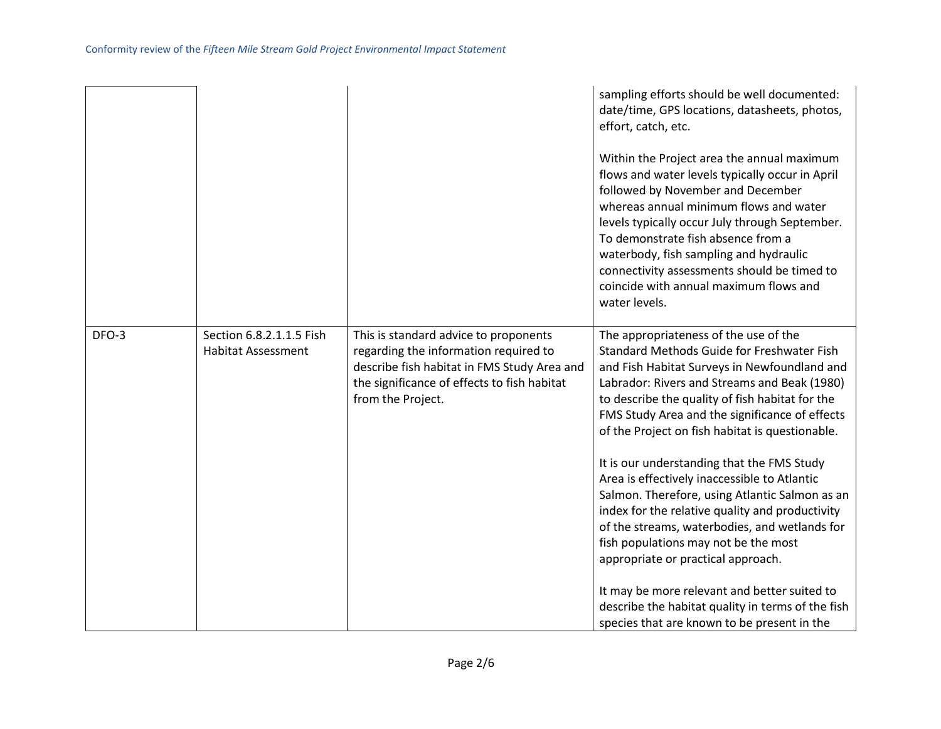|       |                                                       |                                                                                                                                                                                                   | sampling efforts should be well documented:<br>date/time, GPS locations, datasheets, photos,<br>effort, catch, etc.<br>Within the Project area the annual maximum<br>flows and water levels typically occur in April<br>followed by November and December<br>whereas annual minimum flows and water<br>levels typically occur July through September.<br>To demonstrate fish absence from a<br>waterbody, fish sampling and hydraulic<br>connectivity assessments should be timed to<br>coincide with annual maximum flows and<br>water levels. |
|-------|-------------------------------------------------------|---------------------------------------------------------------------------------------------------------------------------------------------------------------------------------------------------|-------------------------------------------------------------------------------------------------------------------------------------------------------------------------------------------------------------------------------------------------------------------------------------------------------------------------------------------------------------------------------------------------------------------------------------------------------------------------------------------------------------------------------------------------|
| DFO-3 | Section 6.8.2.1.1.5 Fish<br><b>Habitat Assessment</b> | This is standard advice to proponents<br>regarding the information required to<br>describe fish habitat in FMS Study Area and<br>the significance of effects to fish habitat<br>from the Project. | The appropriateness of the use of the<br>Standard Methods Guide for Freshwater Fish<br>and Fish Habitat Surveys in Newfoundland and<br>Labrador: Rivers and Streams and Beak (1980)<br>to describe the quality of fish habitat for the<br>FMS Study Area and the significance of effects<br>of the Project on fish habitat is questionable.                                                                                                                                                                                                     |
|       |                                                       |                                                                                                                                                                                                   | It is our understanding that the FMS Study<br>Area is effectively inaccessible to Atlantic<br>Salmon. Therefore, using Atlantic Salmon as an<br>index for the relative quality and productivity<br>of the streams, waterbodies, and wetlands for<br>fish populations may not be the most<br>appropriate or practical approach.                                                                                                                                                                                                                  |
|       |                                                       |                                                                                                                                                                                                   | It may be more relevant and better suited to<br>describe the habitat quality in terms of the fish<br>species that are known to be present in the                                                                                                                                                                                                                                                                                                                                                                                                |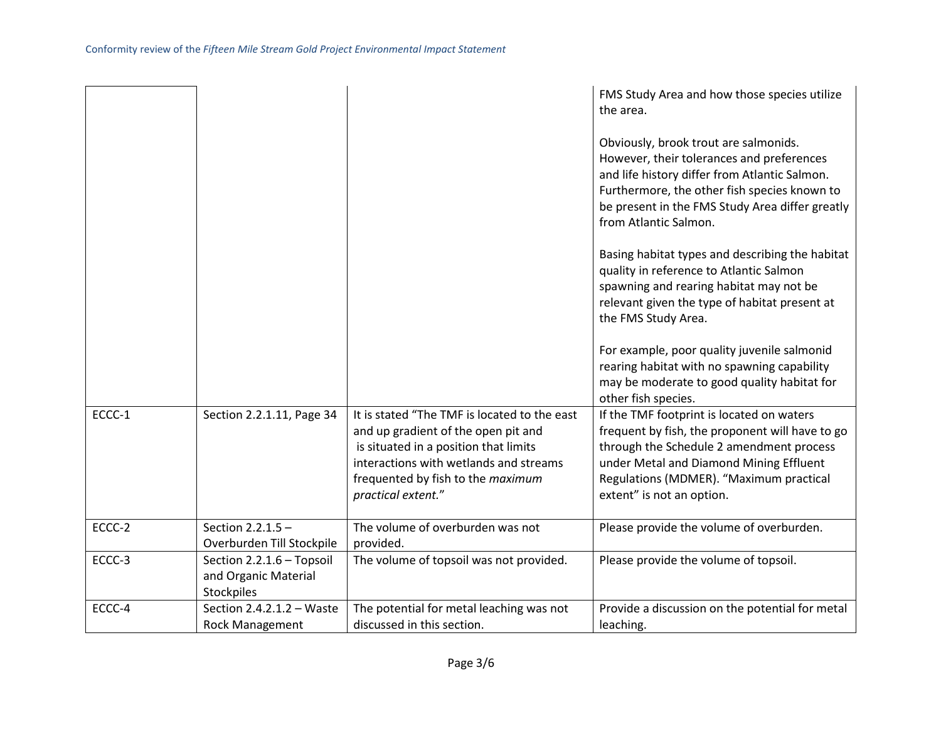|        |                                                                 |                                                                                                                                                                                                                                   | FMS Study Area and how those species utilize<br>the area.                                                                                                                                                                                                       |
|--------|-----------------------------------------------------------------|-----------------------------------------------------------------------------------------------------------------------------------------------------------------------------------------------------------------------------------|-----------------------------------------------------------------------------------------------------------------------------------------------------------------------------------------------------------------------------------------------------------------|
|        |                                                                 |                                                                                                                                                                                                                                   | Obviously, brook trout are salmonids.<br>However, their tolerances and preferences<br>and life history differ from Atlantic Salmon.<br>Furthermore, the other fish species known to<br>be present in the FMS Study Area differ greatly<br>from Atlantic Salmon. |
|        |                                                                 |                                                                                                                                                                                                                                   | Basing habitat types and describing the habitat<br>quality in reference to Atlantic Salmon<br>spawning and rearing habitat may not be<br>relevant given the type of habitat present at<br>the FMS Study Area.                                                   |
|        |                                                                 |                                                                                                                                                                                                                                   | For example, poor quality juvenile salmonid<br>rearing habitat with no spawning capability<br>may be moderate to good quality habitat for<br>other fish species.                                                                                                |
| ECCC-1 | Section 2.2.1.11, Page 34                                       | It is stated "The TMF is located to the east<br>and up gradient of the open pit and<br>is situated in a position that limits<br>interactions with wetlands and streams<br>frequented by fish to the maximum<br>practical extent." | If the TMF footprint is located on waters<br>frequent by fish, the proponent will have to go<br>through the Schedule 2 amendment process<br>under Metal and Diamond Mining Effluent<br>Regulations (MDMER). "Maximum practical<br>extent" is not an option.     |
| ECCC-2 | Section 2.2.1.5 -<br>Overburden Till Stockpile                  | The volume of overburden was not<br>provided.                                                                                                                                                                                     | Please provide the volume of overburden.                                                                                                                                                                                                                        |
| ECCC-3 | Section 2.2.1.6 - Topsoil<br>and Organic Material<br>Stockpiles | The volume of topsoil was not provided.                                                                                                                                                                                           | Please provide the volume of topsoil.                                                                                                                                                                                                                           |
| ECCC-4 | Section 2.4.2.1.2 - Waste<br><b>Rock Management</b>             | The potential for metal leaching was not<br>discussed in this section.                                                                                                                                                            | Provide a discussion on the potential for metal<br>leaching.                                                                                                                                                                                                    |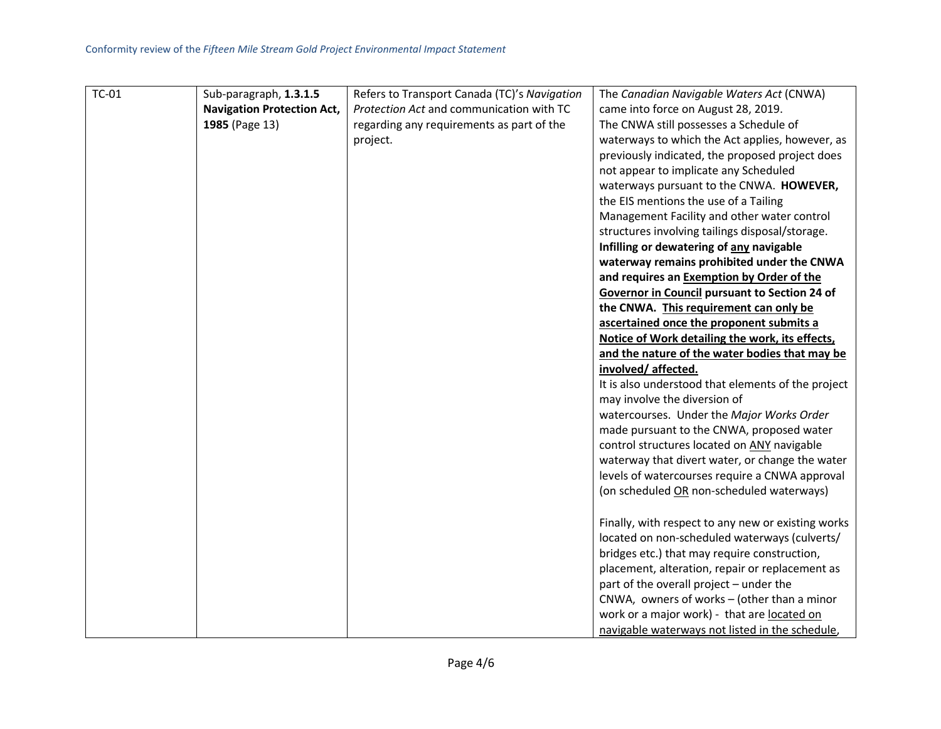| <b>TC-01</b> | Sub-paragraph, 1.3.1.5            | Refers to Transport Canada (TC)'s Navigation | The Canadian Navigable Waters Act (CNWA)             |
|--------------|-----------------------------------|----------------------------------------------|------------------------------------------------------|
|              | <b>Navigation Protection Act,</b> | Protection Act and communication with TC     | came into force on August 28, 2019.                  |
|              | 1985 (Page 13)                    | regarding any requirements as part of the    | The CNWA still possesses a Schedule of               |
|              |                                   | project.                                     | waterways to which the Act applies, however, as      |
|              |                                   |                                              | previously indicated, the proposed project does      |
|              |                                   |                                              | not appear to implicate any Scheduled                |
|              |                                   |                                              | waterways pursuant to the CNWA. HOWEVER,             |
|              |                                   |                                              | the EIS mentions the use of a Tailing                |
|              |                                   |                                              | Management Facility and other water control          |
|              |                                   |                                              | structures involving tailings disposal/storage.      |
|              |                                   |                                              | Infilling or dewatering of any navigable             |
|              |                                   |                                              | waterway remains prohibited under the CNWA           |
|              |                                   |                                              | and requires an Exemption by Order of the            |
|              |                                   |                                              | <b>Governor in Council pursuant to Section 24 of</b> |
|              |                                   |                                              | the CNWA. This requirement can only be               |
|              |                                   |                                              | ascertained once the proponent submits a             |
|              |                                   |                                              | Notice of Work detailing the work, its effects,      |
|              |                                   |                                              | and the nature of the water bodies that may be       |
|              |                                   |                                              | involved/affected.                                   |
|              |                                   |                                              | It is also understood that elements of the project   |
|              |                                   |                                              | may involve the diversion of                         |
|              |                                   |                                              | watercourses. Under the Major Works Order            |
|              |                                   |                                              | made pursuant to the CNWA, proposed water            |
|              |                                   |                                              | control structures located on ANY navigable          |
|              |                                   |                                              | waterway that divert water, or change the water      |
|              |                                   |                                              | levels of watercourses require a CNWA approval       |
|              |                                   |                                              | (on scheduled OR non-scheduled waterways)            |
|              |                                   |                                              |                                                      |
|              |                                   |                                              | Finally, with respect to any new or existing works   |
|              |                                   |                                              | located on non-scheduled waterways (culverts/        |
|              |                                   |                                              | bridges etc.) that may require construction,         |
|              |                                   |                                              | placement, alteration, repair or replacement as      |
|              |                                   |                                              | part of the overall project - under the              |
|              |                                   |                                              | CNWA, owners of works - (other than a minor          |
|              |                                   |                                              | work or a major work) - that are located on          |
|              |                                   |                                              | navigable waterways not listed in the schedule,      |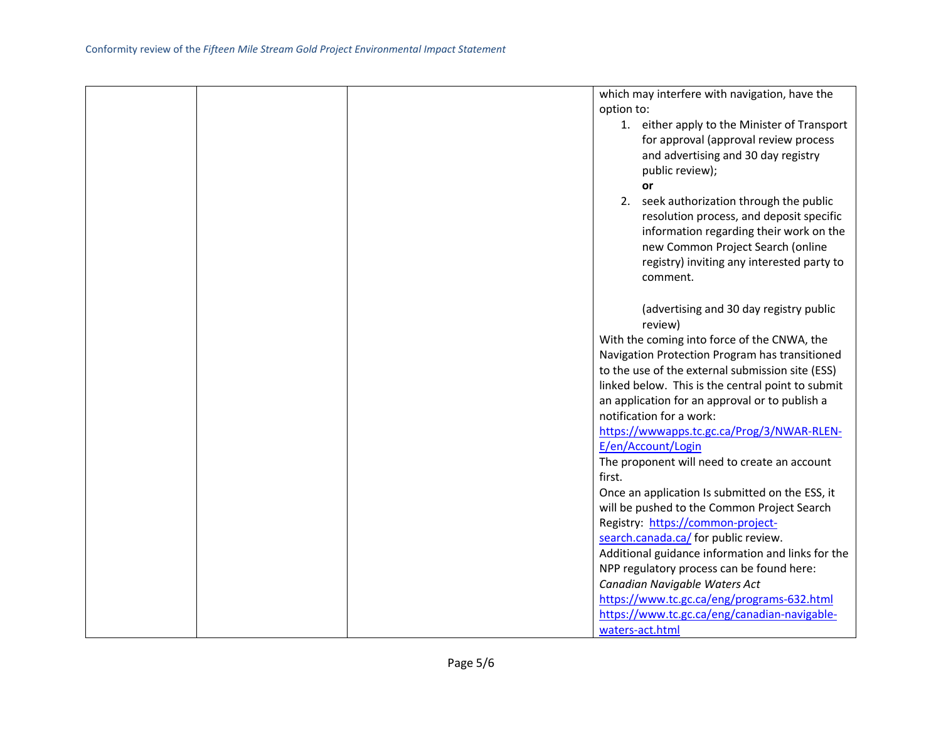|  | which may interfere with navigation, have the     |
|--|---------------------------------------------------|
|  | option to:                                        |
|  | 1. either apply to the Minister of Transport      |
|  | for approval (approval review process             |
|  | and advertising and 30 day registry               |
|  | public review);                                   |
|  | or                                                |
|  | 2. seek authorization through the public          |
|  | resolution process, and deposit specific          |
|  | information regarding their work on the           |
|  | new Common Project Search (online                 |
|  | registry) inviting any interested party to        |
|  | comment.                                          |
|  |                                                   |
|  | (advertising and 30 day registry public           |
|  | review)                                           |
|  | With the coming into force of the CNWA, the       |
|  | Navigation Protection Program has transitioned    |
|  | to the use of the external submission site (ESS)  |
|  | linked below. This is the central point to submit |
|  | an application for an approval or to publish a    |
|  | notification for a work:                          |
|  | https://wwwapps.tc.gc.ca/Prog/3/NWAR-RLEN-        |
|  | E/en/Account/Login                                |
|  | The proponent will need to create an account      |
|  | first.                                            |
|  | Once an application Is submitted on the ESS, it   |
|  | will be pushed to the Common Project Search       |
|  | Registry: https://common-project-                 |
|  | search.canada.ca/ for public review.              |
|  | Additional guidance information and links for the |
|  | NPP regulatory process can be found here:         |
|  | Canadian Navigable Waters Act                     |
|  | https://www.tc.gc.ca/eng/programs-632.html        |
|  | https://www.tc.gc.ca/eng/canadian-navigable-      |
|  | waters-act.html                                   |